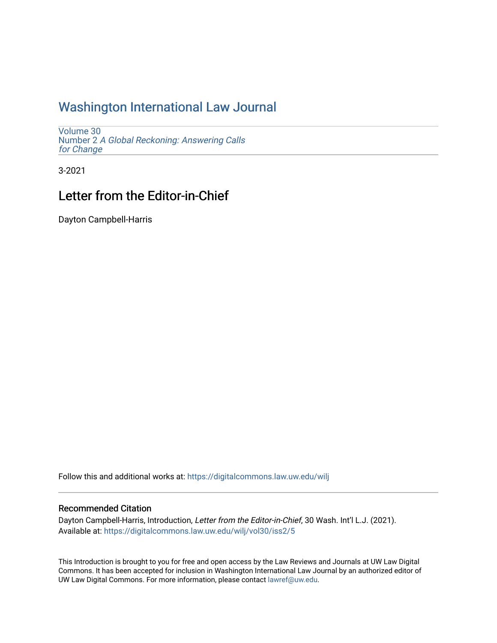## [Washington International Law Journal](https://digitalcommons.law.uw.edu/wilj)

[Volume 30](https://digitalcommons.law.uw.edu/wilj/vol30) Number 2 [A Global Reckoning: Answering Calls](https://digitalcommons.law.uw.edu/wilj/vol30/iss2)  [for Change](https://digitalcommons.law.uw.edu/wilj/vol30/iss2) 

3-2021

# Letter from the Editor-in-Chief

Dayton Campbell-Harris

Follow this and additional works at: [https://digitalcommons.law.uw.edu/wilj](https://digitalcommons.law.uw.edu/wilj?utm_source=digitalcommons.law.uw.edu%2Fwilj%2Fvol30%2Fiss2%2F5&utm_medium=PDF&utm_campaign=PDFCoverPages) 

### Recommended Citation

Dayton Campbell-Harris, Introduction, Letter from the Editor-in-Chief, 30 Wash. Int'l L.J. (2021). Available at: [https://digitalcommons.law.uw.edu/wilj/vol30/iss2/5](https://digitalcommons.law.uw.edu/wilj/vol30/iss2/5?utm_source=digitalcommons.law.uw.edu%2Fwilj%2Fvol30%2Fiss2%2F5&utm_medium=PDF&utm_campaign=PDFCoverPages) 

This Introduction is brought to you for free and open access by the Law Reviews and Journals at UW Law Digital Commons. It has been accepted for inclusion in Washington International Law Journal by an authorized editor of UW Law Digital Commons. For more information, please contact [lawref@uw.edu](mailto:lawref@uw.edu).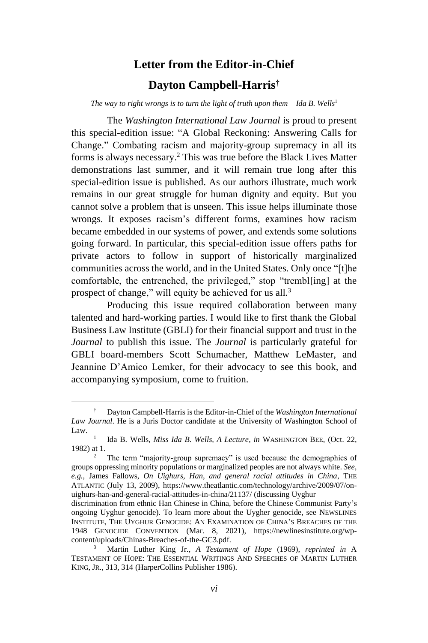### **Letter from the Editor-in-Chief**

#### **Dayton Campbell-Harris†**

*The way to right wrongs is to turn the light of truth upon them*  $-$  *Ida B. Wells*<sup>1</sup>

The *Washington International Law Journal* is proud to present this special-edition issue: "A Global Reckoning: Answering Calls for Change." Combating racism and majority-group supremacy in all its forms is always necessary. <sup>2</sup> This was true before the Black Lives Matter demonstrations last summer, and it will remain true long after this special-edition issue is published. As our authors illustrate, much work remains in our great struggle for human dignity and equity. But you cannot solve a problem that is unseen. This issue helps illuminate those wrongs. It exposes racism's different forms, examines how racism became embedded in our systems of power, and extends some solutions going forward. In particular, this special-edition issue offers paths for private actors to follow in support of historically marginalized communities across the world, and in the United States. Only once "[t]he comfortable, the entrenched, the privileged," stop "trembl[ing] at the prospect of change," will equity be achieved for us all.<sup>3</sup>

Producing this issue required collaboration between many talented and hard-working parties. I would like to first thank the Global Business Law Institute (GBLI) for their financial support and trust in the *Journal* to publish this issue. The *Journal* is particularly grateful for GBLI board-members Scott Schumacher, Matthew LeMaster, and Jeannine D'Amico Lemker, for their advocacy to see this book, and accompanying symposium, come to fruition.

<sup>†</sup> Dayton Campbell-Harris is the Editor-in-Chief of the *Washington International Law Journal*. He is a Juris Doctor candidate at the University of Washington School of Law.

<sup>1</sup> Ida B. Wells, *Miss Ida B. Wells, A Lecture*, *in* WASHINGTON BEE, (Oct. 22, 1982) at 1.

<sup>&</sup>lt;sup>2</sup> The term "majority-group supremacy" is used because the demographics of groups oppressing minority populations or marginalized peoples are not always white. *See, e.g.*, James Fallows, *On Uighurs, Han, and general racial attitudes in China*, THE ATLANTIC (July 13, 2009), https://www.theatlantic.com/technology/archive/2009/07/onuighurs-han-and-general-racial-attitudes-in-china/21137/ (discussing Uyghur

discrimination from ethnic Han Chinese in China, before the Chinese Communist Party's ongoing Uyghur genocide). To learn more about the Uygher genocide, see NEWSLINES INSTITUTE, THE UYGHUR GENOCIDE: AN EXAMINATION OF CHINA'S BREACHES OF THE 1948 GENOCIDE CONVENTION (Mar. 8, 2021), https://newlinesinstitute.org/wpcontent/uploads/Chinas-Breaches-of-the-GC3.pdf.

<sup>3</sup> Martin Luther King Jr., *A Testament of Hope* (1969), *reprinted in* A TESTAMENT OF HOPE: THE ESSENTIAL WRITINGS AND SPEECHES OF MARTIN LUTHER KING, JR., 313, 314 (HarperCollins Publisher 1986).